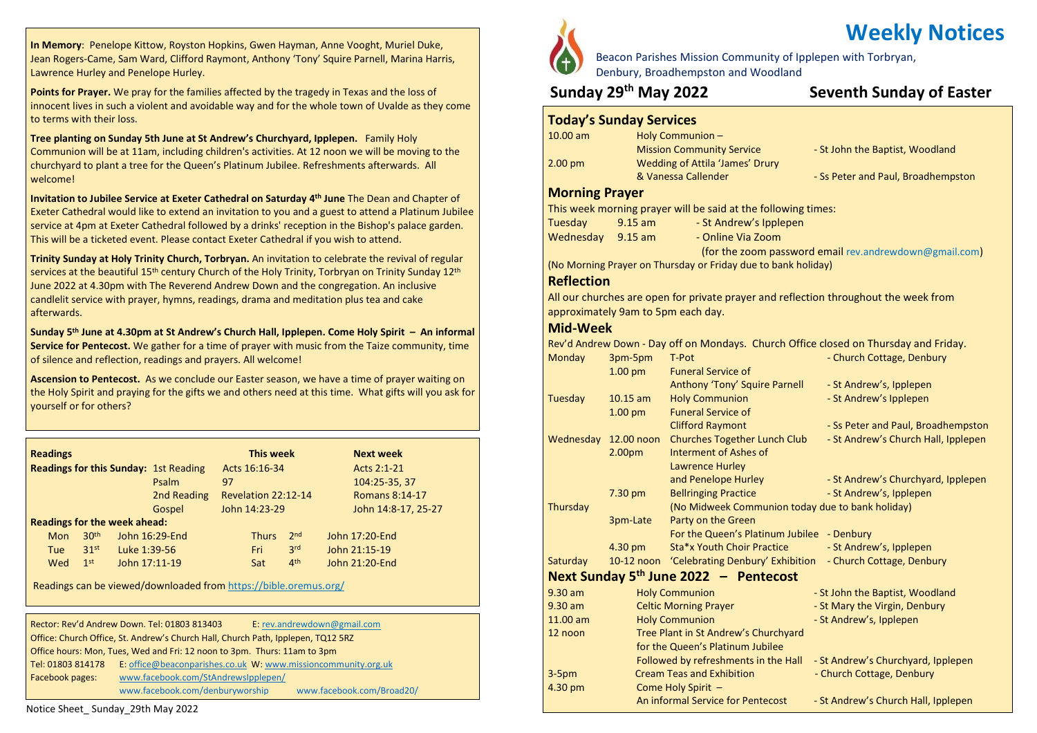**In Memory**: Penelope Kittow, Royston Hopkins, Gwen Hayman, Anne Vooght, Muriel Duke, Jean Rogers-Came, Sam Ward, Clifford Raymont, Anthony 'Tony' Squire Parnell, Marina Harris, Lawrence Hurley and Penelope Hurley.

**Points for Prayer.** We pray for the families affected by the tragedy in Texas and the loss of innocent lives in such a violent and avoidable way and for the whole town of Uvalde as they come to terms with their loss.

**Tree planting on Sunday 5th June at St Andrew's Churchyard, Ipplepen.** Family Holy Communion will be at 11am, including children's activities. At 12 noon we will be moving to the churchyard to plant a tree for the Queen's Platinum Jubilee. Refreshments afterwards. All welcome!

**Invitation to Jubilee Service at Exeter Cathedral on Saturday 4 th June** The Dean and Chapter of Exeter Cathedral would like to extend an invitation to you and a guest to attend a Platinum Jubilee service at 4pm at Exeter Cathedral followed by a drinks' reception in the Bishop's palace garden. This will be a ticketed event. Please contact Exeter Cathedral if you wish to attend.

**Trinity Sunday at Holy Trinity Church, Torbryan.** An invitation to celebrate the revival of regular services at the beautiful 15<sup>th</sup> century Church of the Holy Trinity, Torbryan on Trinity Sunday 12<sup>th</sup> June 2022 at 4.30pm with The Reverend Andrew Down and the congregation. An inclusive candlelit service with prayer, hymns, readings, drama and meditation plus tea and cake afterwards.

**Sunday 5 th June at 4.30pm at St Andrew's Church Hall, Ipplepen. Come Holy Spirit – An informal Service for Pentecost.** We gather for a time of prayer with music from the Taize community, time of silence and reflection, readings and prayers. All welcome!

**Ascension to Pentecost.** As we conclude our Easter season, we have a time of prayer waiting on the Holy Spirit and praying for the gifts we and others need at this time. What gifts will you ask for yourself or for others?

| <b>Readings</b>                              |                |               | This week           |                 |             | <b>Next week</b>      |
|----------------------------------------------|----------------|---------------|---------------------|-----------------|-------------|-----------------------|
| <b>Readings for this Sunday: 1st Reading</b> |                | Acts 16:16-34 |                     |                 | Acts 2:1-21 |                       |
|                                              | Psalm          | 97            |                     |                 |             | 104:25-35, 37         |
|                                              | 2nd Reading    |               | Revelation 22:12-14 |                 |             | <b>Romans 8:14-17</b> |
| Gospel                                       |                | John 14:23-29 |                     |                 |             | John 14:8-17, 25-27   |
| <b>Readings for the week ahead:</b>          |                |               |                     |                 |             |                       |
| 30 <sup>th</sup><br><b>Mon</b>               | John 16:29-End |               | <b>Thurs</b>        | 2 <sub>nd</sub> |             | John 17:20-End        |
| 31 <sup>st</sup><br>Luke 1:39-56<br>Tue      |                |               | Fri                 | 3rd             |             | John 21:15-19         |
| 1 <sup>st</sup><br>Wed                       | John 17:11-19  |               | Sat                 | 4 <sup>th</sup> |             | John 21:20-End        |

Readings can be viewed/downloaded from <https://bible.oremus.org/>

|                                                                                  | Rector: Rev'd Andrew Down. Tel: 01803 813403                  | E: rev.andrewdown@gmail.com |  |  |  |  |
|----------------------------------------------------------------------------------|---------------------------------------------------------------|-----------------------------|--|--|--|--|
| Office: Church Office, St. Andrew's Church Hall, Church Path, Ipplepen, TQ12 5RZ |                                                               |                             |  |  |  |  |
| Office hours: Mon, Tues, Wed and Fri: 12 noon to 3pm. Thurs: 11am to 3pm         |                                                               |                             |  |  |  |  |
| Tel: 01803 814178                                                                | E: office@beaconparishes.co.uk W: www.missioncommunity.org.uk |                             |  |  |  |  |
| Facebook pages:                                                                  | www.facebook.com/StAndrewsIpplepen/                           |                             |  |  |  |  |
|                                                                                  | www.facebook.com/denburyworship                               | www.facebook.com/Broad20/   |  |  |  |  |

# **Weekly Notices**

Beacon Parishes Mission Community of Ipplepen with Torbryan, Denbury, Broadhempston and Woodland

#### **Sunday 29**

#### **th May 2022 Seventh Sunday of Easter**

### **Today's Sunday Services**

| $10.00$ am                                                        |                                                   | Holy Communion-                                                                                                |                                                                                      |  |  |  |
|-------------------------------------------------------------------|---------------------------------------------------|----------------------------------------------------------------------------------------------------------------|--------------------------------------------------------------------------------------|--|--|--|
|                                                                   |                                                   | <b>Mission Community Service</b>                                                                               | - St John the Baptist, Woodland                                                      |  |  |  |
| 2.00 pm<br>Wedding of Attila 'James' Drury<br>& Vanessa Callender |                                                   |                                                                                                                | - Ss Peter and Paul, Broadhempston                                                   |  |  |  |
| <b>Morning Prayer</b>                                             |                                                   |                                                                                                                |                                                                                      |  |  |  |
|                                                                   |                                                   | This week morning prayer will be said at the following times:                                                  |                                                                                      |  |  |  |
| Tuesday                                                           | $9.15$ am                                         | - St Andrew's Ipplepen                                                                                         |                                                                                      |  |  |  |
| Wednesday                                                         | $9.15$ am                                         | - Online Via Zoom                                                                                              |                                                                                      |  |  |  |
|                                                                   |                                                   |                                                                                                                | (for the zoom password email rev.andrewdown@gmail.com)                               |  |  |  |
|                                                                   |                                                   | (No Morning Prayer on Thursday or Friday due to bank holiday)                                                  |                                                                                      |  |  |  |
| <b>Reflection</b>                                                 |                                                   |                                                                                                                |                                                                                      |  |  |  |
|                                                                   |                                                   |                                                                                                                | All our churches are open for private prayer and reflection throughout the week from |  |  |  |
|                                                                   | approximately 9am to 5pm each day.                |                                                                                                                |                                                                                      |  |  |  |
| <b>Mid-Week</b>                                                   |                                                   |                                                                                                                |                                                                                      |  |  |  |
|                                                                   |                                                   |                                                                                                                | Rev'd Andrew Down - Day off on Mondays. Church Office closed on Thursday and Friday. |  |  |  |
| Monday                                                            | 3pm-5pm                                           | T-Pot                                                                                                          | - Church Cottage, Denbury                                                            |  |  |  |
|                                                                   | 1.00 pm                                           | <b>Funeral Service of</b>                                                                                      |                                                                                      |  |  |  |
|                                                                   |                                                   | Anthony 'Tony' Squire Parnell                                                                                  | - St Andrew's, Ipplepen                                                              |  |  |  |
| <b>Tuesday</b>                                                    | $10.15$ am                                        | <b>Holy Communion</b>                                                                                          | - St Andrew's Ipplepen                                                               |  |  |  |
|                                                                   | $1.00$ pm                                         | <b>Funeral Service of</b>                                                                                      |                                                                                      |  |  |  |
|                                                                   |                                                   | <b>Clifford Raymont</b>                                                                                        | - Ss Peter and Paul, Broadhempston                                                   |  |  |  |
| Wednesday                                                         | 12.00 noon<br><b>Churches Together Lunch Club</b> |                                                                                                                | - St Andrew's Church Hall, Ipplepen                                                  |  |  |  |
|                                                                   | 2.00pm                                            | Interment of Ashes of                                                                                          |                                                                                      |  |  |  |
|                                                                   |                                                   | <b>Lawrence Hurley</b><br>and Penelope Hurley                                                                  | - St Andrew's Churchyard, Ipplepen                                                   |  |  |  |
|                                                                   | 7.30 pm                                           | <b>Bellringing Practice</b>                                                                                    | - St Andrew's, Ipplepen                                                              |  |  |  |
| Thursday                                                          |                                                   | (No Midweek Communion today due to bank holiday)                                                               |                                                                                      |  |  |  |
|                                                                   | 3pm-Late                                          | Party on the Green                                                                                             |                                                                                      |  |  |  |
|                                                                   |                                                   | For the Queen's Platinum Jubilee - Denbury                                                                     |                                                                                      |  |  |  |
|                                                                   | 4.30 pm                                           | Sta*x Youth Choir Practice                                                                                     | - St Andrew's, Ipplepen                                                              |  |  |  |
| Saturday                                                          | 10-12 noon                                        | 'Celebrating Denbury' Exhibition                                                                               | - Church Cottage, Denbury                                                            |  |  |  |
|                                                                   |                                                   | Next Sunday 5 <sup>th</sup> June 2022 - Pentecost                                                              |                                                                                      |  |  |  |
| $9.30$ am                                                         |                                                   | <b>Holy Communion</b>                                                                                          | - St John the Baptist, Woodland                                                      |  |  |  |
| $9.30$ am                                                         | <b>Celtic Morning Prayer</b>                      |                                                                                                                | - St Mary the Virgin, Denbury                                                        |  |  |  |
| 11.00 am                                                          | <b>Holy Communion</b>                             |                                                                                                                | - St Andrew's, Ipplepen                                                              |  |  |  |
| Tree Plant in St Andrew's Churchyard<br>12 noon                   |                                                   |                                                                                                                |                                                                                      |  |  |  |
|                                                                   |                                                   | for the Queen's Platinum Jubilee<br>Followed by refreshments in the Hall<br>- St Andrew's Churchyard, Ipplepen |                                                                                      |  |  |  |
| $3-5pm$                                                           |                                                   | <b>Cream Teas and Exhibition</b>                                                                               | - Church Cottage, Denbury                                                            |  |  |  |
| 4.30 pm                                                           | Come Holy Spirit -                                |                                                                                                                |                                                                                      |  |  |  |
|                                                                   |                                                   | An informal Service for Pentecost                                                                              | - St Andrew's Church Hall, Ipplepen                                                  |  |  |  |